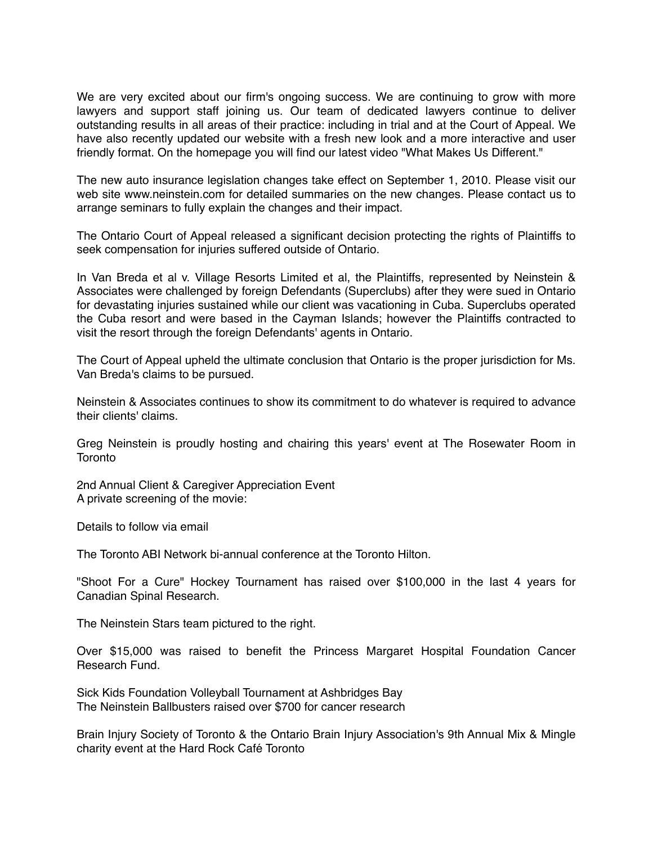We are very excited about our firm's ongoing success. We are continuing to grow with more lawyers and support staff joining us. Our team of dedicated lawyers continue to deliver outstanding results in all areas of their practice: including in trial and at the Court of Appeal. We have also recently updated our website with a fresh new look and a more interactive and user friendly format. On the homepage you will find our latest video "What Makes Us Different."

The new auto insurance legislation changes take effect on September 1, 2010. Please visit our web site www.neinstein.com for detailed summaries on the new changes. Please contact us to arrange seminars to fully explain the changes and their impact.

The Ontario Court of Appeal released a significant decision protecting the rights of Plaintiffs to seek compensation for injuries suffered outside of Ontario.

In Van Breda et al v. Village Resorts Limited et al, the Plaintiffs, represented by Neinstein & Associates were challenged by foreign Defendants (Superclubs) after they were sued in Ontario for devastating injuries sustained while our client was vacationing in Cuba. Superclubs operated the Cuba resort and were based in the Cayman Islands; however the Plaintiffs contracted to visit the resort through the foreign Defendants' agents in Ontario.

The Court of Appeal upheld the ultimate conclusion that Ontario is the proper jurisdiction for Ms. Van Breda's claims to be pursued.

Neinstein & Associates continues to show its commitment to do whatever is required to advance their clients' claims.

Greg Neinstein is proudly hosting and chairing this years' event at The Rosewater Room in **Toronto** 

2nd Annual Client & Caregiver Appreciation Event A private screening of the movie:

Details to follow via email

The Toronto ABI Network bi-annual conference at the Toronto Hilton.

"Shoot For a Cure" Hockey Tournament has raised over \$100,000 in the last 4 years for Canadian Spinal Research.

The Neinstein Stars team pictured to the right.

Over \$15,000 was raised to benefit the Princess Margaret Hospital Foundation Cancer Research Fund.

Sick Kids Foundation Volleyball Tournament at Ashbridges Bay The Neinstein Ballbusters raised over \$700 for cancer research

Brain Injury Society of Toronto & the Ontario Brain Injury Association's 9th Annual Mix & Mingle charity event at the Hard Rock Café Toronto